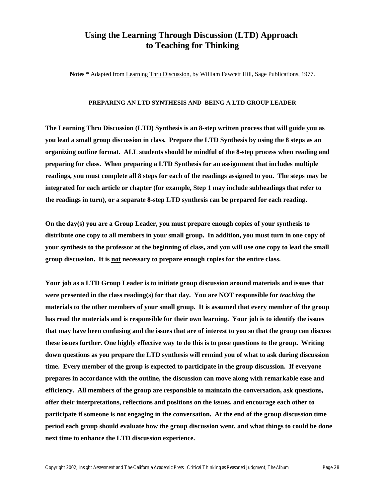#### **Using the Learning Through Discussion (LTD) Approach to Teaching for Thinking**

**Notes** \* Adapted from Learning Thru Discussion, by William Fawcett Hill, Sage Publications, 1977.

#### **PREPARING AN LTD SYNTHESIS AND BEING A LTD GROUP LEADER**

**The Learning Thru Discussion (LTD) Synthesis is an 8-step written process that will guide you as you lead a small group discussion in class. Prepare the LTD Synthesis by using the 8 steps as an organizing outline format. ALL students should be mindful of the 8-step process when reading and preparing for class. When preparing a LTD Synthesis for an assignment that includes multiple readings, you must complete all 8 steps for each of the readings assigned to you. The steps may be integrated for each article or chapter (for example, Step 1 may include subheadings that refer to the readings in turn), or a separate 8-step LTD synthesis can be prepared for each reading.**

**On the day(s) you are a Group Leader, you must prepare enough copies of your synthesis to distribute one copy to all members in your small group. In addition, you must turn in one copy of your synthesis to the professor at the beginning of class, and you will use one copy to lead the small group discussion. It is not necessary to prepare enough copies for the entire class.** 

**Your job as a LTD Group Leader is to initiate group discussion around materials and issues that were presented in the class reading(s) for that day. You are NOT responsible for** *teaching* **the materials to the other members of your small group. It is assumed that every member of the group has read the materials and is responsible for their own learning. Your job is to identify the issues that may have been confusing and the issues that are of interest to you so that the group can discuss these issues further. One highly effective way to do this is to pose questions to the group. Writing down questions as you prepare the LTD synthesis will remind you of what to ask during discussion time. Every member of the group is expected to participate in the group discussion. If everyone prepares in accordance with the outline, the discussion can move along with remarkable ease and efficiency. All members of the group are responsible to maintain the conversation, ask questions, offer their interpretations, reflections and positions on the issues, and encourage each other to participate if someone is not engaging in the conversation. At the end of the group discussion time period each group should evaluate how the group discussion went, and what things to could be done next time to enhance the LTD discussion experience.**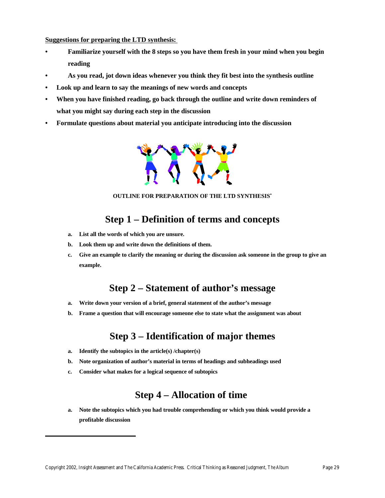**Suggestions for preparing the LTD synthesis:** 

- **• Familiarize yourself with the 8 steps so you have them fresh in your mind when you begin reading**
- **• As you read, jot down ideas whenever you think they fit best into the synthesis outline**
- **• Look up and learn to say the meanings of new words and concepts**
- **• When you have finished reading, go back through the outline and write down reminders of what you might say during each step in the discussion**
- **• Formulate questions about material you anticipate introducing into the discussion**



**OUTLINE FOR PREPARATION OF THE LTD SYNTHESIS\***

# **Step 1 – Definition of terms and concepts**

- **a. List all the words of which you are unsure.**
- **b. Look them up and write down the definitions of them.**
- **c. Give an example to clarify the meaning or during the discussion ask someone in the group to give an example.**

# **Step 2 – Statement of author's message**

- **a. Write down your version of a brief, general statement of the author's message**
- **b. Frame a question that will encourage someone else to state what the assignment was about**

# **Step 3 – Identification of major themes**

- **a. Identify the subtopics in the article(s) /chapter(s)**
- **b. Note organization of author's material in terms of headings and subheadings used**
- **c. Consider what makes for a logical sequence of subtopics**

# **Step 4 – Allocation of time**

**a. Note the subtopics which you had trouble comprehending or which you think would provide a profitable discussion**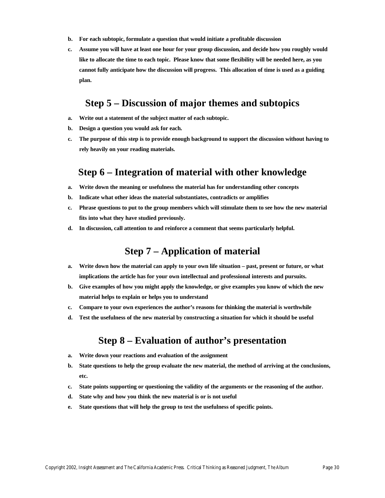- **b. For each subtopic, formulate a question that would initiate a profitable discussion**
- **c. Assume you will have at least one hour for your group discussion, and decide how you roughly would like to allocate the time to each topic. Please know that some flexibility will be needed here, as you cannot fully anticipate how the discussion will progress. This allocation of time is used as a guiding plan.**

### **Step 5 – Discussion of major themes and subtopics**

- **a. Write out a statement of the subject matter of each subtopic.**
- **b. Design a question you would ask for each.**
- **c. The purpose of this step is to provide enough background to support the discussion without having to rely heavily on your reading materials.**

#### **Step 6 – Integration of material with other knowledge**

- **a. Write down the meaning or usefulness the material has for understanding other concepts**
- **b. Indicate what other ideas the material substantiates, contradicts or amplifies**
- **c. Phrase questions to put to the group members which will stimulate them to see how the new material fits into what they have studied previously.**
- **d. In discussion, call attention to and reinforce a comment that seems particularly helpful.**

### **Step 7 – Application of material**

- **a. Write down how the material can apply to your own life situation past, present or future, or what implications the article has for your own intellectual and professional interests and pursuits.**
- **b. Give examples of how you might apply the knowledge, or give examples you know of which the new material helps to explain or helps you to understand**
- **c. Compare to your own experiences the author's reasons for thinking the material is worthwhile**
- **d. Test the usefulness of the new material by constructing a situation for which it should be useful**

## **Step 8 – Evaluation of author's presentation**

- **a. Write down your reactions and evaluation of the assignment**
- **b. State questions to help the group evaluate the new material, the method of arriving at the conclusions, etc.**
- **c. State points supporting or questioning the validity of the arguments or the reasoning of the author.**
- **d. State why and how you think the new material is or is not useful**
- **e. State questions that will help the group to test the usefulness of specific points.**